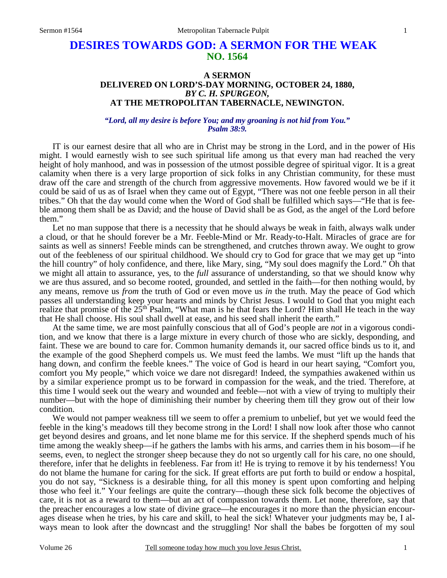## **DESIRES TOWARDS GOD: A SERMON FOR THE WEAK NO. 1564**

## **A SERMON DELIVERED ON LORD'S-DAY MORNING, OCTOBER 24, 1880,**  *BY C. H. SPURGEON,*  **AT THE METROPOLITAN TABERNACLE, NEWINGTON.**

## *"Lord, all my desire is before You; and my groaning is not hid from You." Psalm 38:9.*

IT is our earnest desire that all who are in Christ may be strong in the Lord, and in the power of His might. I would earnestly wish to see such spiritual life among us that every man had reached the very height of holy manhood, and was in possession of the utmost possible degree of spiritual vigor. It is a great calamity when there is a very large proportion of sick folks in any Christian community, for these must draw off the care and strength of the church from aggressive movements. How favored would we be if it could be said of us as of Israel when they came out of Egypt, "There was not one feeble person in all their tribes." Oh that the day would come when the Word of God shall be fulfilled which says—"He that is feeble among them shall be as David; and the house of David shall be as God, as the angel of the Lord before them."

 Let no man suppose that there is a necessity that he should always be weak in faith, always walk under a cloud, or that he should forever be a Mr. Feeble-Mind or Mr. Ready-to-Halt. Miracles of grace are for saints as well as sinners! Feeble minds can be strengthened, and crutches thrown away. We ought to grow out of the feebleness of our spiritual childhood. We should cry to God for grace that we may get up "into the hill country" of holy confidence, and there, like Mary, sing, "My soul does magnify the Lord." Oh that we might all attain to assurance, yes, to the *full* assurance of understanding, so that we should know why we are thus assured, and so become rooted, grounded, and settled in the faith—for then nothing would, by any means, remove us *from* the truth of God or even move us *in* the truth. May the peace of God which passes all understanding keep your hearts and minds by Christ Jesus. I would to God that you might each realize that promise of the  $25<sup>th</sup>$  Psalm, "What man is he that fears the Lord? Him shall He teach in the way that He shall choose. His soul shall dwell at ease, and his seed shall inherit the earth."

 At the same time, we are most painfully conscious that all of God's people are *not* in a vigorous condition, and we know that there is a large mixture in every church of those who are sickly, desponding, and faint. These we are bound to care for. Common humanity demands it, our sacred office binds us to it, and the example of the good Shepherd compels us. We must feed the lambs. We must "lift up the hands that hang down, and confirm the feeble knees." The voice of God is heard in our heart saying, "Comfort you, comfort you My people," which voice we dare not disregard! Indeed, the sympathies awakened within us by a similar experience prompt us to be forward in compassion for the weak, and the tried. Therefore, at this time I would seek out the weary and wounded and feeble—not with a view of trying to multiply their number—but with the hope of diminishing their number by cheering them till they grow out of their low condition.

 We would not pamper weakness till we seem to offer a premium to unbelief, but yet we would feed the feeble in the king's meadows till they become strong in the Lord! I shall now look after those who cannot get beyond desires and groans, and let none blame me for this service. If the shepherd spends much of his time among the weakly sheep—if he gathers the lambs with his arms, and carries them in his bosom—if he seems, even, to neglect the stronger sheep because they do not so urgently call for his care, no one should, therefore, infer that he delights in feebleness. Far from it! He is trying to remove it by his tenderness! You do not blame the humane for caring for the sick. If great efforts are put forth to build or endow a hospital, you do not say, "Sickness is a desirable thing, for all this money is spent upon comforting and helping those who feel it." Your feelings are quite the contrary—though these sick folk become the objectives of care, it is not as a reward to them—but an act of compassion towards them. Let none, therefore, say that the preacher encourages a low state of divine grace—he encourages it no more than the physician encourages disease when he tries, by his care and skill, to heal the sick! Whatever your judgments may be, I always mean to look after the downcast and the struggling! Nor shall the babes be forgotten of my soul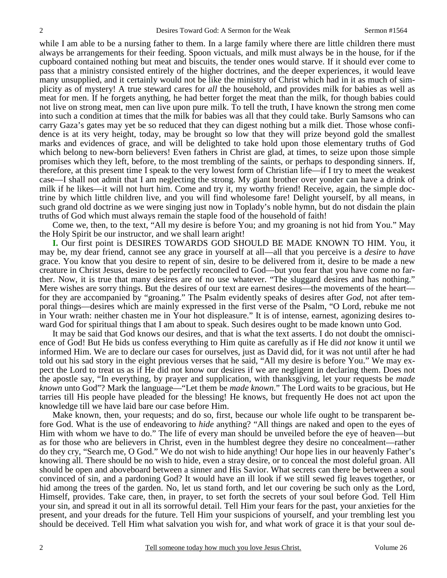while I am able to be a nursing father to them. In a large family where there are little children there must always be arrangements for their feeding. Spoon victuals, and milk must always be in the house, for if the cupboard contained nothing but meat and biscuits, the tender ones would starve. If it should ever come to pass that a ministry consisted entirely of the higher doctrines, and the deeper experiences, it would leave many unsupplied, and it certainly would not be like the ministry of Christ which had in it as much of simplicity as of mystery! A true steward cares for *all* the household, and provides milk for babies as well as meat for men. If he forgets anything, he had better forget the meat than the milk, for though babies could not live on strong meat, men can live upon pure milk. To tell the truth, I have known the strong men come into such a condition at times that the milk for babies was all that they could take. Burly Samsons who can carry Gaza's gates may yet be so reduced that they can digest nothing but a milk diet. Those whose confidence is at its very height, today, may be brought so low that they will prize beyond gold the smallest marks and evidences of grace, and will be delighted to take hold upon those elementary truths of God which belong to new-born believers! Even fathers in Christ are glad, at times, to seize upon those simple promises which they left, before, to the most trembling of the saints, or perhaps to desponding sinners. If, therefore, at this present time I speak to the very lowest form of Christian life—if I try to meet the weakest case—I shall not admit that I am neglecting the strong. My giant brother over yonder can have a drink of milk if he likes—it will not hurt him. Come and try it, my worthy friend! Receive, again, the simple doctrine by which little children live, and you will find wholesome fare! Delight yourself, by all means, in such grand old doctrine as we were singing just now in Toplady's noble hymn, but do not disdain the plain truths of God which must always remain the staple food of the household of faith!

 Come we, then, to the text, "All my desire is before You; and my groaning is not hid from You." May the Holy Spirit be our instructor, and we shall learn aright!

**I.** Our first point is DESIRES TOWARDS GOD SHOULD BE MADE KNOWN TO HIM. You, it may be, my dear friend, cannot see any grace in yourself at all—all that you perceive is a *desire* to *have* grace. You know that you desire to repent of sin, desire to be delivered from it, desire to be made a new creature in Christ Jesus, desire to be perfectly reconciled to God—but you fear that you have come no farther. Now, it is true that many desires are of no use whatever. "The sluggard desires and has nothing." Mere wishes are sorry things. But the desires of our text are earnest desires—the movements of the heart for they are accompanied by "groaning." The Psalm evidently speaks of desires after *God*, not after temporal things—desires which are mainly expressed in the first verse of the Psalm, "O Lord, rebuke me not in Your wrath: neither chasten me in Your hot displeasure." It is of intense, earnest, agonizing desires toward God for spiritual things that I am about to speak. Such desires ought to be made known unto God.

 It may be said that God knows our desires, and that is what the text asserts. I do not doubt the omniscience of God! But He bids us confess everything to Him quite as carefully as if He did *not* know it until we informed Him. We are to declare our cases for ourselves, just as David did, for it was not until after he had told out his sad story in the eight previous verses that he said, "All my desire is before You." We may expect the Lord to treat us as if He did not know our desires if we are negligent in declaring them. Does not the apostle say, "In everything, by prayer and supplication, with thanksgiving, let your requests be *made known* unto God"? Mark the language—"Let them be *made known*." The Lord waits to be gracious, but He tarries till His people have pleaded for the blessing! He knows, but frequently He does not act upon the knowledge till we have laid bare our case before Him.

 Make known, then, your requests; and do so, first, because our whole life ought to be transparent before God. What is the use of endeavoring to *hide* anything? "All things are naked and open to the eyes of Him with whom we have to do." The life of every man should be unveiled before the eye of heaven—but as for those who are believers in Christ, even in the humblest degree they desire no concealment—rather do they cry, "Search me, O God." We do not wish to hide anything! Our hope lies in our heavenly Father's knowing all. There should be no wish to hide, even a stray desire, or to conceal the most doleful groan. All should be open and aboveboard between a sinner and His Savior. What secrets can there be between a soul convinced of sin, and a pardoning God? It would have an ill look if we still sewed fig leaves together, or hid among the trees of the garden. No, let us stand forth, and let our covering be such only as the Lord, Himself, provides. Take care, then, in prayer, to set forth the secrets of your soul before God. Tell Him your sin, and spread it out in all its sorrowful detail. Tell Him your fears for the past, your anxieties for the present, and your dreads for the future. Tell Him your suspicions of yourself, and your trembling lest you should be deceived. Tell Him what salvation you wish for, and what work of grace it is that your soul de-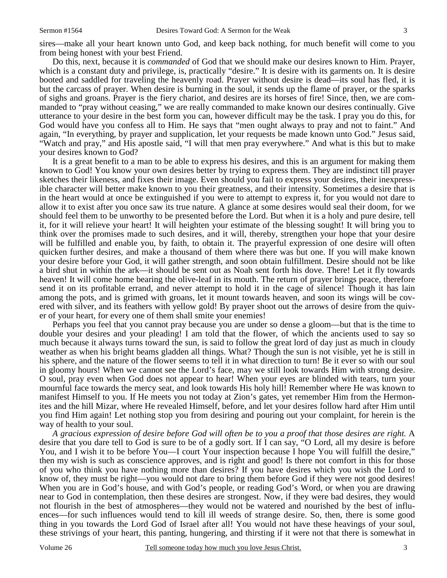Do this, next, because it is *commanded* of God that we should make our desires known to Him. Prayer, which is a constant duty and privilege, is, practically "desire." It is desire with its garments on. It is desire booted and saddled for traveling the heavenly road. Prayer without desire is dead—its soul has fled, it is but the carcass of prayer. When desire is burning in the soul, it sends up the flame of prayer, or the sparks of sighs and groans. Prayer is the fiery chariot, and desires are its horses of fire! Since, then, we are commanded to "pray without ceasing," we are really commanded to make known our desires continually. Give utterance to your desire in the best form you can, however difficult may be the task. I pray you do this, for God would have you confess all to Him. He says that "men ought always to pray and not to faint." And again, "In everything, by prayer and supplication, let your requests be made known unto God." Jesus said, "Watch and pray," and His apostle said, "I will that men pray everywhere." And what is this but to make your desires known to God?

 It is a great benefit to a man to be able to express his desires, and this is an argument for making them known to God! You know your own desires better by trying to express them. They are indistinct till prayer sketches their likeness, and fixes their image. Even should you fail to express your desires, their inexpressible character will better make known to you their greatness, and their intensity. Sometimes a desire that is in the heart would at once be extinguished if you were to attempt to express it, for you would not dare to allow it to exist after you once saw its true nature. A glance at some desires would seal their doom, for we should feel them to be unworthy to be presented before the Lord. But when it is a holy and pure desire, tell it, for it will relieve your heart! It will heighten your estimate of the blessing sought! It will bring you to think over the promises made to such desires, and it will, thereby, strengthen your hope that your desire will be fulfilled and enable you, by faith, to obtain it. The prayerful expression of one desire will often quicken further desires, and make a thousand of them where there was but one. If you will make known your desire before your God, it will gather strength, and soon obtain fulfillment. Desire should not be like a bird shut in within the ark—it should be sent out as Noah sent forth his dove. There! Let it fly towards heaven! It will come home bearing the olive-leaf in its mouth. The return of prayer brings peace, therefore send it on its profitable errand, and never attempt to hold it in the cage of silence! Though it has lain among the pots, and is grimed with groans, let it mount towards heaven, and soon its wings will be covered with silver, and its feathers with yellow gold! By prayer shoot out the arrows of desire from the quiver of your heart, for every one of them shall smite your enemies!

 Perhaps you feel that you cannot pray because you are under so dense a gloom—but that is the time to double your desires and your pleading! I am told that the flower, of which the ancients used to say so much because it always turns toward the sun, is said to follow the great lord of day just as much in cloudy weather as when his bright beams gladden all things. What? Though the sun is not visible, yet he is still in his sphere, and the nature of the flower seems to tell it in what direction to turn! Be it ever so with our soul in gloomy hours! When we cannot see the Lord's face, may we still look towards Him with strong desire. O soul, pray even when God does not appear to hear! When your eyes are blinded with tears, turn your mournful face towards the mercy seat, and look towards His holy hill! Remember where He was known to manifest Himself to you. If He meets you not today at Zion's gates, yet remember Him from the Hermonites and the hill Mizar, where He revealed Himself, before, and let your desires follow hard after Him until you find Him again! Let nothing stop you from desiring and pouring out your complaint, for herein is the way of health to your soul.

 *A gracious expression of desire before God will often be to you a proof that those desires are right.* A desire that you dare tell to God is sure to be of a godly sort. If I can say, "O Lord, all my desire is before You, and I wish it to be before You—I court Your inspection because I hope You will fulfill the desire," then my wish is such as conscience approves, and is right and good! Is there not comfort in this for those of you who think you have nothing more than desires? If you have desires which you wish the Lord to know of, they must be right—you would not dare to bring them before God if they were not good desires! When you are in God's house, and with God's people, or reading God's Word, or when you are drawing near to God in contemplation, then these desires are strongest. Now, if they were bad desires, they would not flourish in the best of atmospheres—they would not be watered and nourished by the best of influences—for such influences would tend to kill ill weeds of strange desire. So, then, there is some good thing in you towards the Lord God of Israel after all! You would not have these heavings of your soul, these strivings of your heart, this panting, hungering, and thirsting if it were not that there is somewhat in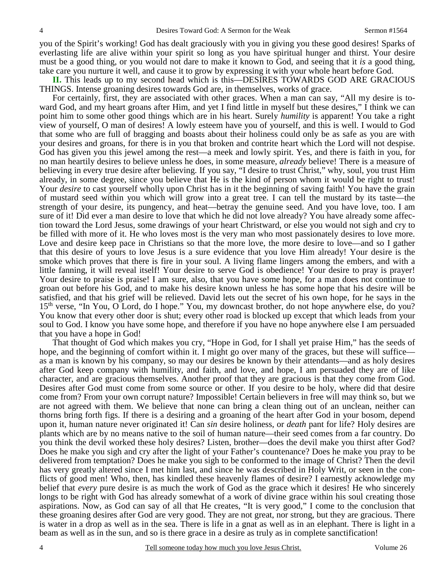you of the Spirit's working! God has dealt graciously with you in giving you these good desires! Sparks of everlasting life are alive within your spirit so long as you have spiritual hunger and thirst. Your desire must be a good thing, or you would not dare to make it known to God, and seeing that it *is* a good thing, take care you nurture it well, and cause it to grow by expressing it with your whole heart before God.

**II.** This leads up to my second head which is this—DESIRES TOWARDS GOD ARE GRACIOUS THINGS. Intense groaning desires towards God are, in themselves, works of grace.

 For certainly, first, they are associated with other graces. When a man can say, "All my desire is toward God, and my heart groans after Him, and yet I find little in myself but these desires," I think we can point him to some other good things which are in his heart. Surely *humility* is apparent! You take a right view of yourself, O man of desires! A lowly esteem have you of yourself, and this is well. I would to God that some who are full of bragging and boasts about their holiness could only be as safe as you are with your desires and groans, for there is in you that broken and contrite heart which the Lord will not despise. God has given you this jewel among the rest—a meek and lowly spirit. Yes, and there is faith in you, for no man heartily desires to believe unless he does, in some measure, *already* believe! There is a measure of believing in every true desire after believing. If you say, "I desire to trust Christ," why, soul, you trust Him already, in some degree, since you believe that He is the kind of person whom it would be right to trust! Your *desire* to cast yourself wholly upon Christ has in it the beginning of saving faith! You have the grain of mustard seed within you which will grow into a great tree. I can tell the mustard by its taste—the strength of your desire, its pungency, and heat—betray the genuine seed. And you have love, too. I am sure of it! Did ever a man desire to love that which he did not love already? You have already some affection toward the Lord Jesus, some drawings of your heart Christward, or else you would not sigh and cry to be filled with more of it. He who loves most is the very man who most passionately desires to love more. Love and desire keep pace in Christians so that the more love, the more desire to love—and so I gather that this desire of yours to love Jesus is a sure evidence that you love Him already! Your desire is the smoke which proves that there is fire in your soul. A living flame lingers among the embers, and with a little fanning, it will reveal itself! Your desire to serve God is obedience! Your desire to pray is prayer! Your desire to praise is praise! I am sure, also, that you have some hope, for a man does not continue to groan out before his God, and to make his desire known unless he has some hope that his desire will be satisfied, and that his grief will be relieved. David lets out the secret of his own hope, for he says in the 15th verse, "In You, O Lord, do I hope." You, my downcast brother, do not hope anywhere else, do you? You know that every other door is shut; every other road is blocked up except that which leads from your soul to God. I know you have some hope, and therefore if you have no hope anywhere else I am persuaded that you have a hope in God!

 That thought of God which makes you cry, "Hope in God, for I shall yet praise Him," has the seeds of hope, and the beginning of comfort within it. I might go over many of the graces, but these will suffice as a man is known by his company, so may our desires be known by their attendants—and as holy desires after God keep company with humility, and faith, and love, and hope, I am persuaded they are of like character, and are gracious themselves. Another proof that they are gracious is that they come from God. Desires after God must come from some source or other. If you desire to be holy, where did that desire come from? From your own corrupt nature? Impossible! Certain believers in free will may think so, but we are not agreed with them. We believe that none can bring a clean thing out of an unclean, neither can thorns bring forth figs. If there is a desiring and a groaning of the heart after God in your bosom, depend upon it, human nature never originated it! Can *sin* desire holiness, or *death* pant for life? Holy desires are plants which are by no means native to the soil of human nature—their seed comes from a far country. Do you think the devil worked these holy desires? Listen, brother—does the devil make you thirst after God? Does he make you sigh and cry after the light of your Father's countenance? Does he make you pray to be delivered from temptation? Does he make you sigh to be conformed to the image of Christ? Then the devil has very greatly altered since I met him last, and since he was described in Holy Writ, or seen in the conflicts of good men! Who, then, has kindled these heavenly flames of desire? I earnestly acknowledge my belief that *every* pure desire is as much the work of God as the grace which it desires! He who sincerely longs to be right with God has already somewhat of a work of divine grace within his soul creating those aspirations. Now, as God can say of all that He creates, "It is very good," I come to the conclusion that these groaning desires after God are very good. They are not great, nor strong, but they are gracious. There is water in a drop as well as in the sea. There is life in a gnat as well as in an elephant. There is light in a beam as well as in the sun, and so is there grace in a desire as truly as in complete sanctification!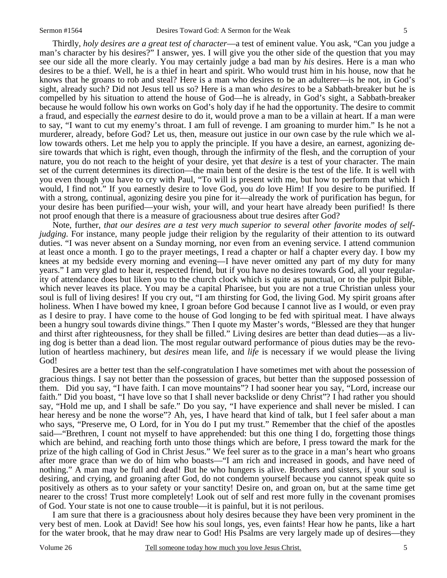Thirdly, *holy desires are a great test of character*—a test of eminent value. You ask, "Can you judge a man's character by his desires?" I answer, yes. I will give you the other side of the question that you may see our side all the more clearly. You may certainly judge a bad man by *his* desires. Here is a man who desires to be a thief. Well, he is a thief in heart and spirit. Who would trust him in his house, now that he knows that he groans to rob and steal? Here is a man who desires to be an adulterer—is he not, in God's sight, already such? Did not Jesus tell us so? Here is a man who *desires* to be a Sabbath-breaker but he is compelled by his situation to attend the house of God—he is already, in God's sight, a Sabbath-breaker because he would follow his own works on God's holy day if he had the opportunity. The desire to commit a fraud, and especially the *earnest* desire to do it, would prove a man to be a villain at heart. If a man were to say, "I want to cut my enemy's throat. I am full of revenge. I am groaning to murder him." Is he not a murderer, already, before God? Let us, then, measure out justice in our own case by the rule which we allow towards others. Let me help you to apply the principle. If you have a desire, an earnest, agonizing desire towards that which is right, even though, through the infirmity of the flesh, and the corruption of your nature, you do not reach to the height of your desire, yet that *desire* is a test of your character. The main set of the current determines its direction—the main bent of the desire is the test of the life. It is well with you even though you have to cry with Paul, "To will is present with me, but how to perform that which I would, I find not." If you earnestly desire to love God, you *do* love Him! If you desire to be purified. If with a strong, continual, agonizing desire you pine for it—already the work of purification has begun, for your desire has been purified—your wish, your will, and your heart have already been purified! Is there not proof enough that there is a measure of graciousness about true desires after God?

 Note, further, *that our desires are a test very much superior to several other favorite modes of selfjudging.* For instance, many people judge their religion by the regularity of their attention to its outward duties. "I was never absent on a Sunday morning, nor even from an evening service. I attend communion at least once a month. I go to the prayer meetings, I read a chapter or half a chapter every day. I bow my knees at my bedside every morning and evening—I have never omitted any part of my duty for many years." I am very glad to hear it, respected friend, but if you have no desires towards God, all your regularity of attendance does but liken you to the church clock which is quite as punctual, or to the pulpit Bible, which never leaves its place. You may be a capital Pharisee, but you are not a true Christian unless your soul is full of living desires! If you cry out, "I am thirsting for God, the living God. My spirit groans after holiness. When I have bowed my knee, I groan before God because I cannot live as I would, or even pray as I desire to pray. I have come to the house of God longing to be fed with spiritual meat. I have always been a hungry soul towards divine things." Then I quote my Master's words, "Blessed are they that hunger and thirst after righteousness, for they shall be filled." Living desires are better than dead duties—as a living dog is better than a dead lion. The most regular outward performance of pious duties may be the revolution of heartless machinery, but *desires* mean life, and *life* is necessary if we would please the living God!

 Desires are a better test than the self-congratulation I have sometimes met with about the possession of gracious things. I say not better than the possession of graces, but better than the supposed possession of them. Did you say, "I have faith. I can move mountains"? I had sooner hear you say, "Lord, increase our faith." Did you boast, "I have love so that I shall never backslide or deny Christ"? I had rather you should say, "Hold me up, and I shall be safe." Do you say, "I have experience and shall never be misled. I can hear heresy and be none the worse"? Ah, yes, I have heard that kind of talk, but I feel safer about a man who says, "Preserve me, O Lord, for in You do I put my trust." Remember that the chief of the apostles said—"Brethren, I count not myself to have apprehended: but this one thing I do, forgetting those things which are behind, and reaching forth unto those things which are before, I press toward the mark for the prize of the high calling of God in Christ Jesus." We feel surer as to the grace in a man's heart who groans after more grace than we do of him who boasts—"I am rich and increased in goods, and have need of nothing." A man may be full and dead! But he who hungers is alive. Brothers and sisters, if your soul is desiring, and crying, and groaning after God, do not condemn yourself because you cannot speak quite so positively as others as to your safety or your sanctity! Desire on, and groan on, but at the same time get nearer to the cross! Trust more completely! Look out of self and rest more fully in the covenant promises of God. Your state is not one to cause trouble—it is painful, but it is not perilous.

 I am sure that there is a graciousness about holy desires because they have been very prominent in the very best of men. Look at David! See how his soul longs, yes, even faints! Hear how he pants, like a hart for the water brook, that he may draw near to God! His Psalms are very largely made up of desires—they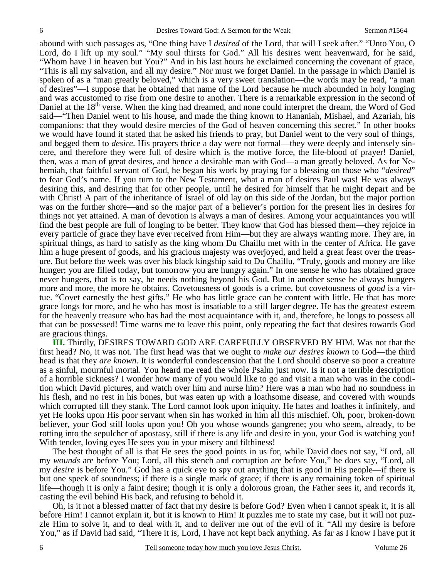abound with such passages as, "One thing have I *desired* of the Lord, that will I seek after." "Unto You, O Lord, do I lift up my soul." "My soul thirsts for God." All his desires went heavenward, for he said, "Whom have I in heaven but You?" And in his last hours he exclaimed concerning the covenant of grace, "This is all my salvation, and all my desire." Nor must we forget Daniel. In the passage in which Daniel is spoken of as a "man greatly beloved," which is a very sweet translation—the words may be read, "a man of desires"—I suppose that he obtained that name of the Lord because he much abounded in holy longing and was accustomed to rise from one desire to another. There is a remarkable expression in the second of Daniel at the 18<sup>th</sup> verse. When the king had dreamed, and none could interpret the dream, the Word of God said—"Then Daniel went to his house, and made the thing known to Hananiah, Mishael, and Azariah, his companions: that they would desire mercies of the God of heaven concerning this secret." In other books we would have found it stated that he asked his friends to pray, but Daniel went to the very soul of things, and begged them to *desire*. His prayers thrice a day were not formal—they were deeply and intensely sincere, and therefore they were full of desire which is the motive force, the life-blood of prayer! Daniel, then, was a man of great desires, and hence a desirable man with God—a man greatly beloved. As for Nehemiah, that faithful servant of God, he began his work by praying for a blessing on those who "*desired*" to fear God's name. If you turn to the New Testament, what a man of desires Paul was! He was always desiring this, and desiring that for other people, until he desired for himself that he might depart and be with Christ! A part of the inheritance of Israel of old lay on this side of the Jordan, but the major portion was on the further shore—and so the major part of a believer's portion for the present lies in desires for things not yet attained. A man of devotion is always a man of desires. Among your acquaintances you will find the best people are full of longing to be better. They know that God has blessed them—they rejoice in every particle of grace they have ever received from Him—but they are always wanting more. They are, in spiritual things, as hard to satisfy as the king whom Du Chaillu met with in the center of Africa. He gave him a huge present of goods, and his gracious majesty was overjoyed, and held a great feast over the treasure. But before the week was over his black kingship said to Du Chaillu, "Truly, goods and money are like hunger; you are filled today, but tomorrow you are hungry again." In one sense he who has obtained grace never hungers, that is to say, he needs nothing beyond his God. But in another sense he always hungers more and more, the more he obtains. Covetousness of goods is a crime, but covetousness of *good* is a virtue. "Covet earnestly the best gifts." He who has little grace can be content with little. He that has more grace longs for more, and he who has most is insatiable to a still larger degree. He has the greatest esteem for the heavenly treasure who has had the most acquaintance with it, and, therefore, he longs to possess all that can be possessed! Time warns me to leave this point, only repeating the fact that desires towards God are gracious things.

**III.** Thirdly, DESIRES TOWARD GOD ARE CAREFULLY OBSERVED BY HIM. Was not that the first head? No, it was not. The first head was that we ought to *make our desires known* to God—the third head is that they *are known*. It is wonderful condescension that the Lord should observe so poor a creature as a sinful, mournful mortal. You heard me read the whole Psalm just now. Is it not a terrible description of a horrible sickness? I wonder how many of you would like to go and visit a man who was in the condition which David pictures, and watch over him and nurse him? Here was a man who had no soundness in his flesh, and no rest in his bones, but was eaten up with a loathsome disease, and covered with wounds which corrupted till they stank. The Lord cannot look upon iniquity. He hates and loathes it infinitely, and yet He looks upon His poor servant when sin has worked in him all this mischief. Oh, poor, broken-down believer, your God still looks upon you! Oh you whose wounds gangrene; you who seem, already, to be rotting into the sepulcher of apostasy, still if there is any life and desire in you, your God is watching you! With tender, loving eyes He sees you in your misery and filthiness!

 The best thought of all is that He sees the good points in us for, while David does not say, "Lord, all my *wounds* are before You; Lord, all this stench and corruption are before You," he does say, "Lord, all my *desire* is before You." God has a quick eye to spy out anything that is good in His people—if there is but one speck of soundness; if there is a single mark of grace; if there is any remaining token of spiritual life—though it is only a faint desire; though it is only a dolorous groan, the Father sees it, and records it, casting the evil behind His back, and refusing to behold it.

 Oh, is it not a blessed matter of fact that my desire is before God? Even when I cannot speak it, it is all before Him! I cannot explain it, but it is known to Him! It puzzles me to state my case, but it will not puzzle Him to solve it, and to deal with it, and to deliver me out of the evil of it. "All my desire is before You," as if David had said, "There it is, Lord, I have not kept back anything. As far as I know I have put it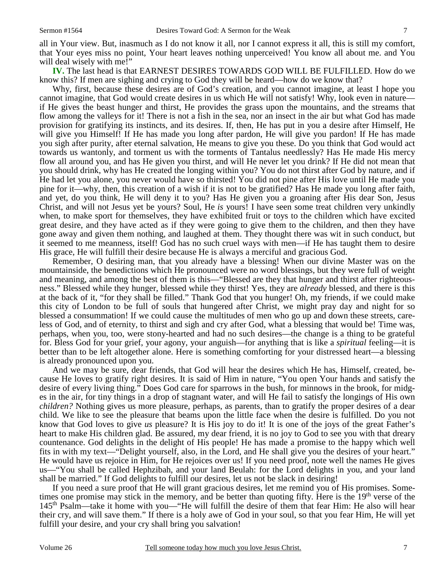all in Your view. But, inasmuch as I do not know it all, nor I cannot express it all, this is still my comfort, that Your eyes miss no point, Your heart leaves nothing unperceived! You know all about me. and You will deal wisely with me!"

**IV.** The last head is that EARNEST DESIRES TOWARDS GOD WILL BE FULFILLED. How do we know this? If men are sighing and crying to God they will be heard—how do we know that?

 Why, first, because these desires are of God's creation, and you cannot imagine, at least I hope you cannot imagine, that God would create desires in us which He will not satisfy! Why, look even in nature if He gives the beast hunger and thirst, He provides the grass upon the mountains, and the streams that flow among the valleys for it! There is not a fish in the sea, nor an insect in the air but what God has made provision for gratifying its instincts, and its desires. If, then, He has put in you a desire after Himself, He will give you Himself! If He has made you long after pardon, He will give you pardon! If He has made you sigh after purity, after eternal salvation, He means to give you these. Do you think that God would act towards us wantonly, and torment us with the torments of Tantalus needlessly? Has He made His mercy flow all around you, and has He given you thirst, and will He never let you drink? If He did not mean that you should drink, why has He created the longing within you? You do not thirst after God by nature, and if He had let you alone, you never would have so thirsted! You did not pine after His love until He made you pine for it—why, then, this creation of a wish if it is not to be gratified? Has He made you long after faith, and yet, do you think, He will deny it to you? Has He given you a groaning after His dear Son, Jesus Christ, and will not Jesus yet be yours? Soul, He *is* yours! I have seen some treat children very unkindly when, to make sport for themselves, they have exhibited fruit or toys to the children which have excited great desire, and they have acted as if they were going to give them to the children, and then they have gone away and given them nothing, and laughed at them. They thought there was wit in such conduct, but it seemed to me meanness, itself! God has no such cruel ways with men—if He has taught them to desire His grace, He will fulfill their desire because He is always a merciful and gracious God.

 Remember, O desiring man, that you already have a blessing! When our divine Master was on the mountainside, the benedictions which He pronounced were no word blessings, but they were full of weight and meaning, and among the best of them is this—"Blessed are they that hunger and thirst after righteousness." Blessed while they hunger, blessed while they thirst! Yes, they are *already* blessed, and there is this at the back of it, "for they shall be filled." Thank God that you hunger! Oh, my friends, if we could make this city of London to be full of souls that hungered after Christ, we might pray day and night for so blessed a consummation! If we could cause the multitudes of men who go up and down these streets, careless of God, and of eternity, to thirst and sigh and cry after God, what a blessing that would be! Time was, perhaps, when you, too, were stony-hearted and had no such desires—the change is a thing to be grateful for. Bless God for your grief, your agony, your anguish—for anything that is like a *spiritual* feeling—it is better than to be left altogether alone. Here is something comforting for your distressed heart—a blessing is already pronounced upon you.

 And we may be sure, dear friends, that God will hear the desires which He has, Himself, created, because He loves to gratify right desires. It is said of Him in nature, "You open Your hands and satisfy the desire of every living thing." Does God care for sparrows in the bush, for minnows in the brook, for midges in the air, for tiny things in a drop of stagnant water, and will He fail to satisfy the longings of His own *children?* Nothing gives us more pleasure, perhaps, as parents, than to gratify the proper desires of a dear child. We like to see the pleasure that beams upon the little face when the desire is fulfilled. Do you not know that God loves to give *us* pleasure? It is His joy to do it! It is one of the joys of the great Father's heart to make His children glad. Be assured, my dear friend, it is no joy to God to see you with that dreary countenance. God delights in the delight of His people! He has made a promise to the happy which well fits in with my text—"Delight yourself, also, in the Lord, and He shall give you the desires of your heart." He would have us rejoice in Him, for He rejoices over us! If you need proof, note well the names He gives us—"You shall be called Hephzibah, and your land Beulah: for the Lord delights in you, and your land shall be married." If God delights to fulfill our desires, let us not be slack in desiring!

 If you need a sure proof that He will grant gracious desires, let me remind you of His promises. Sometimes one promise may stick in the memory, and be better than quoting fifty. Here is the  $19<sup>th</sup>$  verse of the 145th Psalm—take it home with you—"He will fulfill the desire of them that fear Him: He also will hear their cry, and will save them." If there is a holy awe of God in your soul, so that you fear Him, He will yet fulfill your desire, and your cry shall bring you salvation!